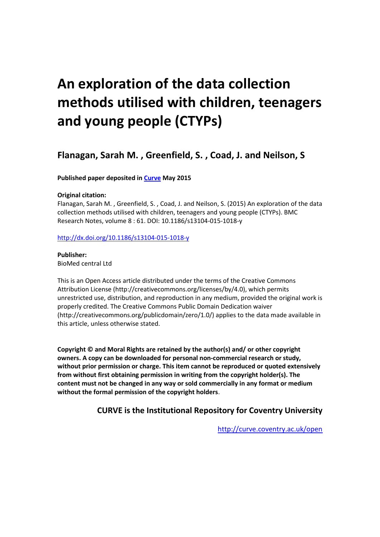# **An exploration of the data collection methods utilised with children, teenagers and young people (CTYPs)**

## **Flanagan, Sarah M. , Greenfield, S. , Coad, J. and Neilson, S**

**Published paper deposited i[n Curve](http://curve.coventry.ac.uk/open) May 2015**

## **Original citation:**

Flanagan, Sarah M. , Greenfield, S. , Coad, J. and Neilson, S. (2015) An exploration of the data collection methods utilised with children, teenagers and young people (CTYPs). BMC Research Notes, volume 8 : 61. DOI: 10.1186/s13104-015-1018-y

## <http://dx.doi.org/10.1186/s13104-015-1018-y>

## **Publisher:**

BioMed central Ltd

This is an Open Access article distributed under the terms of the Creative Commons Attribution License (http://creativecommons.org/licenses/by/4.0), which permits unrestricted use, distribution, and reproduction in any medium, provided the original work is properly credited. The Creative Commons Public Domain Dedication waiver (http://creativecommons.org/publicdomain/zero/1.0/) applies to the data made available in this article, unless otherwise stated.

**Copyright © and Moral Rights are retained by the author(s) and/ or other copyright owners. A copy can be downloaded for personal non-commercial research or study, without prior permission or charge. This item cannot be reproduced or quoted extensively from without first obtaining permission in writing from the copyright holder(s). The content must not be changed in any way or sold commercially in any format or medium without the formal permission of the copyright holders**.

## **CURVE is the Institutional Repository for Coventry University**

<http://curve.coventry.ac.uk/open>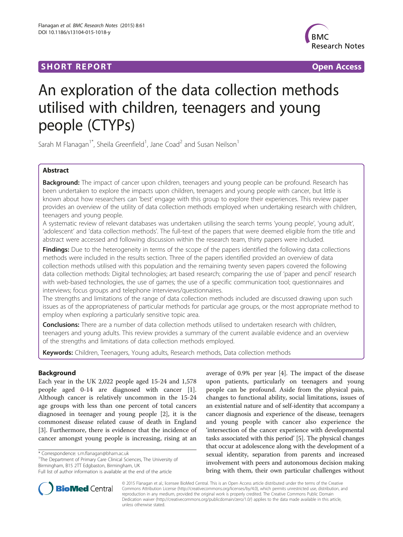## **SHORT REPORT SHORT CONSUMING THE CONSUMING THE CONSUMING THE CONSUMING THE CONSUMING THE CONSUMING THE CONSUMING THE CONSUMING THE CONSUMING THE CONSUMING THE CONSUMING THE CONSUMING THE CONSUMING THE CONSUMING THE CO**



# An exploration of the data collection methods utilised with children, teenagers and young people (CTYPs)

Sarah M Flanagan<sup>1\*</sup>, Sheila Greenfield<sup>1</sup>, Jane Coad<sup>2</sup> and Susan Neilson<sup>1</sup>

## Abstract

Background: The impact of cancer upon children, teenagers and young people can be profound. Research has been undertaken to explore the impacts upon children, teenagers and young people with cancer, but little is known about how researchers can 'best' engage with this group to explore their experiences. This review paper provides an overview of the utility of data collection methods employed when undertaking research with children, teenagers and young people.

A systematic review of relevant databases was undertaken utilising the search terms 'young people', 'young adult', 'adolescent' and 'data collection methods'. The full-text of the papers that were deemed eligible from the title and abstract were accessed and following discussion within the research team, thirty papers were included.

Findings: Due to the heterogeneity in terms of the scope of the papers identified the following data collections methods were included in the results section. Three of the papers identified provided an overview of data collection methods utilised with this population and the remaining twenty seven papers covered the following data collection methods: Digital technologies; art based research; comparing the use of 'paper and pencil' research with web-based technologies, the use of games; the use of a specific communication tool; questionnaires and interviews; focus groups and telephone interviews/questionnaires.

The strengths and limitations of the range of data collection methods included are discussed drawing upon such issues as of the appropriateness of particular methods for particular age groups, or the most appropriate method to employ when exploring a particularly sensitive topic area.

**Conclusions:** There are a number of data collection methods utilised to undertaken research with children, teenagers and young adults. This review provides a summary of the current available evidence and an overview of the strengths and limitations of data collection methods employed.

Keywords: Children, Teenagers, Young adults, Research methods, Data collection methods

#### Background

Each year in the UK 2,022 people aged 15-24 and 1,578 people aged 0-14 are diagnosed with cancer [\[1](#page-13-0)]. Although cancer is relatively uncommon in the 15-24 age groups with less than one percent of total cancers diagnosed in teenager and young people [\[2](#page-13-0)], it is the commonest disease related cause of death in England [[3\]](#page-13-0). Furthermore, there is evidence that the incidence of cancer amongst young people is increasing, rising at an

\* Correspondence: [s.m.flanagan@bham.ac.uk](mailto:s.m.flanagan@bham.ac.uk) <sup>1</sup>

<sup>1</sup>The Department of Primary Care Clinical Sciences, The University of Birmingham, B15 2TT Edgbaston, Birmingham, UK

average of 0.9% per year [[4\]](#page-13-0). The impact of the disease upon patients, particularly on teenagers and young people can be profound. Aside from the physical pain, changes to functional ability, social limitations, issues of an existential nature and of self-identity that accompany a cancer diagnosis and experience of the disease, teenagers and young people with cancer also experience the 'intersection of the cancer experience with developmental tasks associated with this period' [[5\]](#page-13-0). The physical changes that occur at adolescence along with the development of a sexual identity, separation from parents and increased involvement with peers and autonomous decision making bring with them, their own particular challenges without



© 2015 Flanagan et al.; licensee BioMed Central. This is an Open Access article distributed under the terms of the Creative Commons Attribution License [\(http://creativecommons.org/licenses/by/4.0\)](http://creativecommons.org/licenses/by/4.0), which permits unrestricted use, distribution, and reproduction in any medium, provided the original work is properly credited. The Creative Commons Public Domain Dedication waiver [\(http://creativecommons.org/publicdomain/zero/1.0/](http://creativecommons.org/publicdomain/zero/1.0/)) applies to the data made available in this article, unless otherwise stated.

Full list of author information is available at the end of the article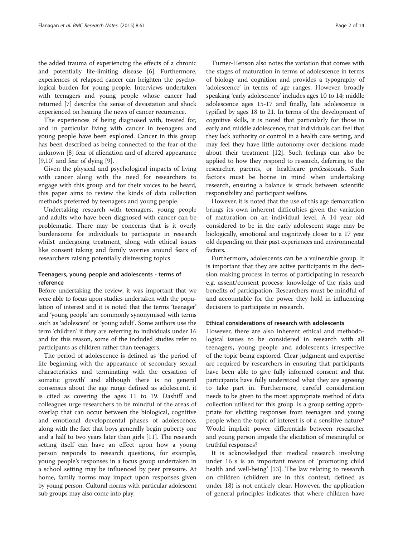the added trauma of experiencing the effects of a chronic and potentially life-limiting disease [\[6\]](#page-13-0). Furthermore, experiences of relapsed cancer can heighten the psychological burden for young people. Interviews undertaken with teenagers and young people whose cancer had returned [\[7](#page-13-0)] describe the sense of devastation and shock experienced on hearing the news of cancer recurrence.

The experiences of being diagnosed with, treated for, and in particular living with cancer in teenagers and young people have been explored. Cancer in this group has been described as being connected to the fear of the unknown [\[8](#page-13-0)] fear of alienation and of altered appearance [[9,10\]](#page-13-0) and fear of dying [\[9](#page-13-0)].

Given the physical and psychological impacts of living with cancer along with the need for researchers to engage with this group and for their voices to be heard, this paper aims to review the kinds of data collection methods preferred by teenagers and young people.

Undertaking research with teenagers, young people and adults who have been diagnosed with cancer can be problematic. There may be concerns that is it overly burdensome for individuals to participate in research whilst undergoing treatment, along with ethical issues like consent taking and family worries around fears of researchers raising potentially distressing topics

#### Teenagers, young people and adolescents - terms of reference

Before undertaking the review, it was important that we were able to focus upon studies undertaken with the population of interest and it is noted that the terms 'teenager' and 'young people' are commonly synonymised with terms such as 'adolescent' or 'young adult'. Some authors use the term 'children' if they are referring to individuals under 16 and for this reason, some of the included studies refer to participants as children rather than teenagers.

The period of adolescence is defined as 'the period of life beginning with the appearance of secondary sexual characteristics and terminating with the cessation of somatic growth' and although there is no general consensus about the age range defined as adolescent, it is cited as covering the ages 11 to 19. Dashiff and colleagues urge researchers to be mindful of the areas of overlap that can occur between the biological, cognitive and emotional developmental phases of adolescence, along with the fact that boys generally begin puberty one and a half to two years later than girls [\[11](#page-13-0)]. The research setting itself can have an effect upon how a young person responds to research questions, for example, young people's responses in a focus group undertaken in a school setting may be influenced by peer pressure. At home, family norms may impact upon responses given by young person. Cultural norms with particular adolescent sub groups may also come into play.

Turner-Henson also notes the variation that comes with the stages of maturation in terms of adolescence in terms of biology and cognition and provides a typography of 'adolescence' in terms of age ranges. However, broadly speaking 'early adolescence' includes ages 10 to 14; middle adolescence ages 15-17 and finally, late adolescence is typified by ages 18 to 21. In terms of the development of cognitive skills, it is noted that particularly for those in early and middle adolescence, that individuals can feel that they lack authority or control in a health care setting, and may feel they have little autonomy over decisions made about their treatment [\[12\]](#page-13-0). Such feelings can also be applied to how they respond to research, deferring to the researcher, parents, or healthcare professionals. Such factors must be borne in mind when undertaking research, ensuring a balance is struck between scientific responsibility and participant welfare.

However, it is noted that the use of this age demarcation brings its own inherent difficulties given the variation of maturation on an individual level. A 14 year old considered to be in the early adolescent stage may be biologically, emotional and cognitively closer to a 17 year old depending on their past experiences and environmental factors.

Furthermore, adolescents can be a vulnerable group. It is important that they are active participants in the decision making process in terms of participating in research e.g. assent/consent process; knowledge of the risks and benefits of participation. Researchers must be mindful of and accountable for the power they hold in influencing decisions to participate in research.

#### Ethical considerations of research with adolescents

However, there are also inherent ethical and methodological issues to be considered in research with all teenagers, young people and adolescents irrespective of the topic being explored. Clear judgment and expertise are required by researchers in ensuring that participants have been able to give fully informed consent and that participants have fully understood what they are agreeing to take part in. Furthermore, careful consideration needs to be given to the most appropriate method of data collection utilised for this group. Is a group setting appropriate for eliciting responses from teenagers and young people when the topic of interest is of a sensitive nature? Would implicit power differentials between researcher and young person impede the elicitation of meaningful or truthful responses?

It is acknowledged that medical research involving under 16 s is an important means of 'promoting child health and well-being' [[13\]](#page-13-0). The law relating to research on children (children are in this context, defined as under 18) is not entirely clear. However, the application of general principles indicates that where children have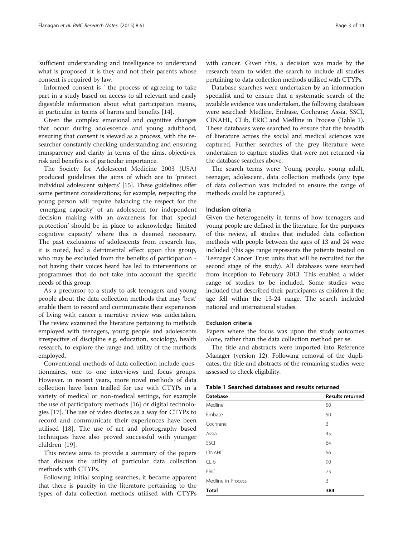<span id="page-3-0"></span>'sufficient understanding and intelligence to understand what is proposed', it is they and not their parents whose consent is required by law.

Informed consent is ' the process of agreeing to take part in a study based on access to all relevant and easily digestible information about what participation means, in particular in terms of harms and benefits [\[14](#page-13-0)].

Given the complex emotional and cognitive changes that occur during adolescence and young adulthood, ensuring that consent is viewed as a process, with the researcher constantly checking understanding and ensuring transparency and clarity in terms of the aims, objectives, risk and benefits is of particular importance.

The Society for Adolescent Medicine 2003 (USA) produced guidelines the aims of which are to 'protect individual adolescent subjects' [\[15](#page-13-0)]. These guidelines offer some pertinent considerations; for example, respecting the young person will require balancing the respect for the 'emerging capacity' of an adolescent for independent decision making with an awareness for that 'special protection' should be in place to acknowledge 'limited cognitive capacity' where this is deemed necessary. The past exclusions of adolescents from research has, it is noted, had a detrimental effect upon this group, who may be excluded from the benefits of participation not having their voices heard has led to interventions or programmes that do not take into account the specific needs of this group.

As a precursor to a study to ask teenagers and young people about the data collection methods that may 'best' enable them to record and communicate their experiences of living with cancer a narrative review was undertaken. The review examined the literature pertaining to methods employed with teenagers, young people and adolescents irrespective of discipline e.g. education, sociology, health research, to explore the range and utility of the methods employed.

Conventional methods of data collection include questionnaires, one to one interviews and focus groups. However, in recent years, more novel methods of data collection have been trialled for use with CTYPs in a variety of medical or non-medical settings, for example the use of participatory methods [[16\]](#page-13-0) or digital technologies [\[17](#page-13-0)]. The use of video diaries as a way for CTYPs to record and communicate their experiences have been utilised [[18\]](#page-13-0). The use of art and photography based techniques have also proved successful with younger children [\[19](#page-13-0)].

This review aims to provide a summary of the papers that discuss the utility of particular data collection methods with CTYPs.

Following initial scoping searches, it became apparent that there is paucity in the literature pertaining to the types of data collection methods utilised with CTYPs with cancer. Given this, a decision was made by the research team to widen the search to include all studies pertaining to data collection methods utilised with CTYPs.

Database searches were undertaken by an information specialist and to ensure that a systematic search of the available evidence was undertaken, the following databases were searched: Medline, Embase, Cochrane; Assia, SSCI, CINAHL, CLib, ERIC and Medline in Process (Table 1). These databases were searched to ensure that the breadth of literature across the social and medical sciences was captured. Further searches of the grey literature were undertaken to capture studies that were not returned via the database searches above.

The search terms were: Young people, young adult, teenager, adolescent, data collection methods (any type of data collection was included to ensure the range of methods could be captured).

#### Inclusion criteria

Given the heterogeneity in terms of how teenagers and young people are defined in the literature, for the purposes of this review, all studies that included data collection methods with people between the ages of 13 and 24 were included (this age range represents the patients treated on Teenager Cancer Trust units that will be recruited for the second stage of the study). All databases were searched from inception to February 2013. This enabled a wider range of studies to be included. Some studies were included that described their participants as children if the age fell within the 13-24 range. The search included national and international studies.

#### Exclusion criteria

Papers where the focus was upon the study outcomes alone, rather than the data collection method per se.

The title and abstracts were imported into Reference Manager (version 12). Following removal of the duplicates, the title and abstracts of the remaining studies were assessed to check eligibility.

| <b>Datebase</b>    | <b>Results returned</b> |
|--------------------|-------------------------|
| Medline            | 50                      |
| Embase             | 50                      |
| Cochrane           | 3                       |
| Assia              | 45                      |
| SSCI               | 64                      |
| CINAHL             | 56                      |
| CLib               | 90                      |
| <b>ERIC</b>        | 23                      |
| Medline in Process | 3                       |
| <b>Total</b>       | 384                     |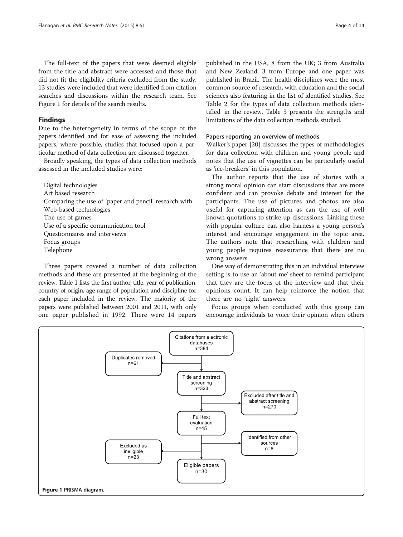The full-text of the papers that were deemed eligible from the title and abstract were accessed and those that did not fit the eligibility criteria excluded from the study. 13 studies were included that were identified from citation searches and discussions within the research team. See Figure 1 for details of the search results.

#### Findings

Due to the heterogeneity in terms of the scope of the papers identified and for ease of assessing the included papers, where possible, studies that focused upon a particular method of data collection are discussed together.

Broadly speaking, the types of data collection methods assessed in the included studies were:

Digital technologies Art based research Comparing the use of 'paper and pencil' research with Web-based technologies The use of games Use of a specific communication tool Questionnaires and interviews Focus groups Telephone

Three papers covered a number of data collection methods and these are presented at the beginning of the review. Table [1](#page-3-0) lists the first author, title, year of publication, country of origin, age range of population and discipline for each paper included in the review. The majority of the papers were published between 2001 and 2011, with only one paper published in 1992. There were 14 papers

published in the USA; 8 from the UK; 3 from Australia and New Zealand; 3 from Europe and one paper was published in Brazil. The health disciplines were the most common source of research, with education and the social sciences also featuring in the list of identified studies. See Table [2](#page-5-0) for the types of data collection methods identified in the review. Table [3](#page-7-0) presents the strengths and limitations of the data collection methods studied.

#### Papers reporting an overview of methods

Walker's paper [[20\]](#page-13-0) discusses the types of methodologies for data collection with children and young people and notes that the use of vignettes can be particularly useful as 'ice-breakers' in this population.

The author reports that the use of stories with a strong moral opinion can start discussions that are more confident and can provoke debate and interest for the participants. The use of pictures and photos are also useful for capturing attention as can the use of well known quotations to strike up discussions. Linking these with popular culture can also harness a young person's interest and encourage engagement in the topic area. The authors note that researching with children and young people requires reassurance that there are no wrong answers.

One way of demonstrating this in an individual interview setting is to use an 'about me' sheet to remind participant that they are the focus of the interview and that their opinions count. It can help reinforce the notion that there are no 'right' answers.

Focus groups when conducted with this group can encourage individuals to voice their opinion when others

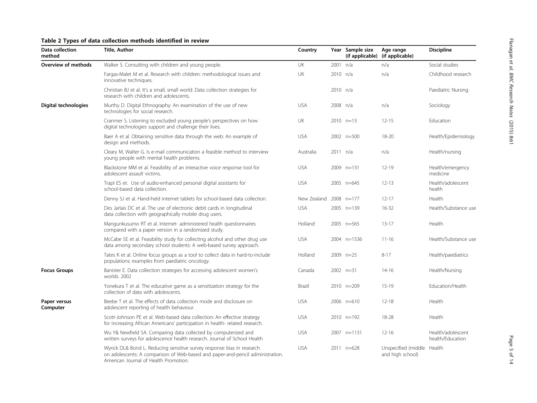### <span id="page-5-0"></span>Table 2 Types of data collection methods identified in review

| Data collection<br>method  | <b>Title, Author</b>                                                                                                                                                                              | Country     |          | Year Sample size<br>(if applicable) | Age range<br>(if applicable)                   | <b>Discipline</b>                     |
|----------------------------|---------------------------------------------------------------------------------------------------------------------------------------------------------------------------------------------------|-------------|----------|-------------------------------------|------------------------------------------------|---------------------------------------|
| <b>Overview of methods</b> | Walker S. Consulting with children and young people.                                                                                                                                              | UK          | 2001 n/a |                                     | n/a                                            | Social studies                        |
|                            | Fargas-Malet M et al. Research with children: methodological issues and<br>innovative techniques.                                                                                                 | UK          | 2010 n/a |                                     | n/a                                            | Childhood research                    |
|                            | Christian BJ et al. It's a small, small world: Data collection strategies for<br>research with children and adolescents.                                                                          |             | 2010 n/a |                                     |                                                | Paediatric Nursing                    |
| Digital technologies       | Murthy D. Digital Ethnography: An examination of the use of new<br>technologies for social research.                                                                                              | <b>USA</b>  | 2008 n/a |                                     | n/a                                            | Sociology                             |
|                            | Cranmer S. Listening to excluded young people's perspectives on how<br>digital technologies support and challenge their lives.                                                                    | UK          |          | 2010 n=13                           | $12 - 15$                                      | Education                             |
|                            | Baer A et al. Obtaining sensitive data through the web: An example of<br>design and methods.                                                                                                      | <b>USA</b>  |          | 2002 n=500                          | $18 - 20$                                      | Health/Epidemiology                   |
|                            | Cleary M, Walter G. Is e-mail communication a feasible method to interview<br>young people with mental health problems.                                                                           | Australia   | 2011 n/a |                                     | n/a                                            | Health/nursing                        |
|                            | Blackstone MM et al. Feasibility of an interactive voice response tool for<br>adolescent assault victims.                                                                                         | <b>USA</b>  |          | 2009 n=131                          | $12 - 19$                                      | Health/emergency<br>medicine          |
|                            | Trapl ES et. Use of audio-enhanced personal digital assistants for<br>school-based data collection.                                                                                               | <b>USA</b>  |          | 2005 n=645                          | $12 - 13$                                      | Health/adolescent<br>health           |
|                            | Denny SJ et al. Hand-held internet tablets for school-based data collection.                                                                                                                      | New Zealand |          | 2008 n=177                          | $12 - 17$                                      | Health                                |
|                            | Des Jarlais DC et al. The use of electronic debit cards in longitudinal<br>data collection with geographically mobile drug users.                                                                 | <b>USA</b>  |          | 2005 n=139                          | $16 - 32$                                      | Health/Substance use                  |
|                            | Mangunkusumo RT et al. Internet- administered health questionnaires<br>compared with a paper version in a randomized study.                                                                       | Holland     |          | 2005 n=565                          | $13 - 17$                                      | Health                                |
|                            | McCabe SE et al. Feasibility study for collecting alcohol and other drug use<br>data among secondary school students: A web-based survey approach.                                                | <b>USA</b>  |          | 2004 n=1536                         | $11 - 16$                                      | Health/Substance use                  |
|                            | Tates K et al. Online focus groups as a tool to collect data in hard-to-include<br>populations: examples from paediatric oncology.                                                                | Holland     |          | 2009 n=25                           | $8 - 17$                                       | Health/paediatrics                    |
| <b>Focus Groups</b>        | Banister E. Data collection strategies for accessing adolescent women's<br>worlds, 2002                                                                                                           | Canada      |          | 2002 n=31                           | $14 - 16$                                      | Health/Nursing                        |
|                            | Yonekura T et al. The educative game as a sensitization strategy for the<br>collection of data with adolescents.                                                                                  | Brazil      |          | 2010 n=209                          | $15 - 19$                                      | Education/Health                      |
| Paper versus<br>Computer   | Beebe T et al. The effects of data collection mode and disclosure on<br>adolescent reporting of health behaviour.                                                                                 | <b>USA</b>  |          | 2006 n=610                          | $12 - 18$                                      | Health                                |
|                            | Scott-Johnson PE et al. Web-based data collection: An effective strategy<br>for increasing African Americans' participation in health-related research.                                           | <b>USA</b>  |          | 2010 n=192                          | 18-28                                          | Health                                |
|                            | Wu Y& Newfield SA. Comparing data collected by computerized and<br>written surveys for adolescence health research. Journal of School Health                                                      | <b>USA</b>  |          | 2007 n=1131                         | $12 - 16$                                      | Health/adolescent<br>health/Education |
|                            | Wyrick DL& Bond L. Reducing sensitive survey response bias in research<br>on adolescents: A comparison of Web-based and paper-and-pencil administration.<br>American Journal of Health Promotion. | <b>USA</b>  |          | 2011 n=628                          | Unspecified (middle Health<br>and high school) |                                       |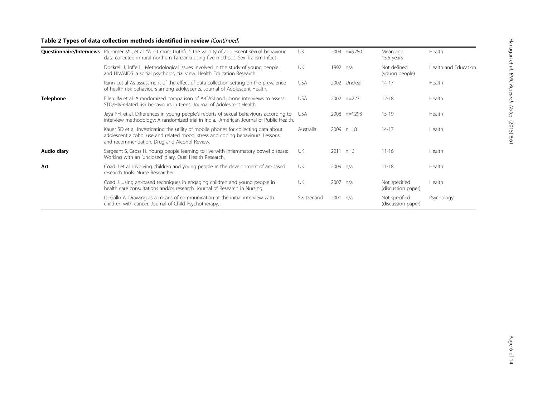## Table 2 Types of data collection methods identified in review (Continued)

|                  | <b>Questionnaire/Interviews</b> Plummer ML, et al. "A bit more truthful": the validity of adolescent sexual behaviour<br>data collected in rural northern Tanzania using five methods. Sex Transm Infect               | UK          |          | 2004 n=9280 | Mean age<br>15.5 years              | Health               |
|------------------|------------------------------------------------------------------------------------------------------------------------------------------------------------------------------------------------------------------------|-------------|----------|-------------|-------------------------------------|----------------------|
|                  | Dockrell J, Joffe H. Methodological issues involved in the study of young people<br>and HIV/AIDS: a social psychologicial view. Health Education Research.                                                             | UK          | 1992 n/a |             | Not defined<br>(young people)       | Health and Education |
|                  | Kann Let al As assessment of the effect of data collection setting on the prevalence<br>of health risk behaviours among adolescents. Journal of Adolescent Health.                                                     | <b>USA</b>  | 2002     | Unclear     | $14 - 17$                           | Health               |
| <b>Telephone</b> | Ellen JM et al. A randomized comparison of A-CASI and phone interviews to assess<br>STD/HIV-related risk behaviours in teens. Journal of Adolescent Health.                                                            | <b>USA</b>  | 2002     | $n=223$     | $12 - 18$                           | Health               |
|                  | Jaya PH, et al. Differences in young people's reports of sexual behaviours according to<br>interview methodology: A randomized trial in India. American Journal of Public Health.                                      | <b>USA</b>  |          | 2008 n=1293 | $15 - 19$                           | Health               |
|                  | Kauer SD et al. Investigating the utility of mobile phones for collecting data about<br>adolescent alcohol use and related mood, stress and coping behaviours: Lessons<br>and recommendation. Drug and Alcohol Review. | Australia   | 2009     | $n=18$      | $14 - 17$                           | Health               |
| Audio diary      | Sargeant S, Gross H. Young people learning to live with inflammatory bowel disease:<br>Working with an 'unclosed' diary. Qual Health Research.                                                                         | UK          | 2011     | $n=6$       | $11 - 16$                           | Health               |
| Art              | Coad J et al. Involving children and young people in the development of art-based<br>research tools. Nurse Researcher.                                                                                                 | UK          | 2009     | n/a         | $11 - 18$                           | Health               |
|                  | Coad J. Using art-based techniques in engaging children and young people in<br>health care consultations and/or research. Journal of Research in Nursing.                                                              | UK          | 2007     | n/a         | Not specified<br>(discussion paper) | Health               |
|                  | Di Gallo A. Drawing as a means of communication at the initial interview with<br>children with cancer. Journal of Child Psychotherapy.                                                                                 | Switzerland | 2001     | n/a         | Not specified<br>(discussion paper) | Psychology           |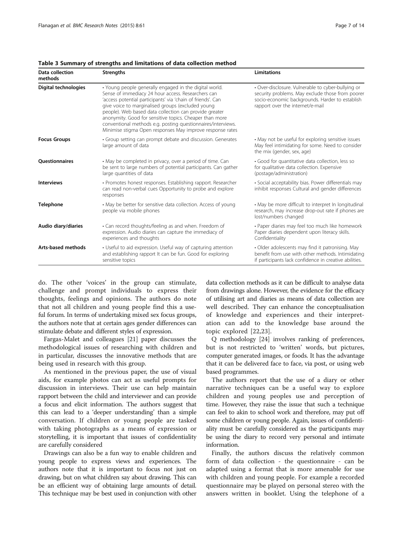| Data collection<br>methods  | <b>Strengths</b>                                                                                                                                                                                                                                                                                                                                                                                                                                                                   | Limitations                                                                                                                                                                                   |
|-----------------------------|------------------------------------------------------------------------------------------------------------------------------------------------------------------------------------------------------------------------------------------------------------------------------------------------------------------------------------------------------------------------------------------------------------------------------------------------------------------------------------|-----------------------------------------------------------------------------------------------------------------------------------------------------------------------------------------------|
| <b>Digital technologies</b> | • Young people generally engaged in the digital world.<br>Sense of immediacy 24 hour access. Researchers can<br>'access potential participants' via 'chain of friends'. Can<br>give voice to marginalised groups (excluded young<br>people). Web based data collection can provide greater<br>anonymity. Good for sensitive topics. Cheaper than more<br>conventional methods e.g. posting questionnaires/interviews.<br>Minimise stigma Open responses May improve response rates | · Over-disclosure. Vulnerable to cyber-bullying or<br>security problems. May exclude those from poorer<br>socio-economic backgrounds. Harder to establish<br>rapport over the internet/e-mail |
| <b>Focus Groups</b>         | • Group setting can prompt debate and discussion. Generates<br>large amount of data                                                                                                                                                                                                                                                                                                                                                                                                | • May not be useful for exploring sensitive issues<br>May feel intimidating for some. Need to consider<br>the mix (gender, sex, age)                                                          |
| <b>Ouestionnaires</b>       | • May be completed in privacy, over a period of time. Can<br>be sent to large numbers of potential participants. Can gather<br>large quantities of data                                                                                                                                                                                                                                                                                                                            | • Good for quantitative data collection, less so<br>for qualitative data collection. Expensive<br>(postage/administration)                                                                    |
| <b>Interviews</b>           | • Promotes honest responses. Establishing rapport. Researcher<br>can read non-verbal cues Opportunity to probe and explore<br>responses                                                                                                                                                                                                                                                                                                                                            | · Social acceptability bias. Power differentials may<br>inhibit responses Cultural and gender differences                                                                                     |
| <b>Telephone</b>            | • May be better for sensitive data collection. Access of young<br>people via mobile phones                                                                                                                                                                                                                                                                                                                                                                                         | • May be more difficult to interpret In longitudinal<br>research, may increase drop-out rate if phones are<br>lost/numbers changed                                                            |
| Audio diary/diaries         | • Can record thoughts/feeling as and when. Freedom of<br>expression. Audio diaries can capture the immediacy of<br>experiences and thoughts                                                                                                                                                                                                                                                                                                                                        | • Paper diaries may feel too much like homework<br>Paper diaries dependent upon literacy skills.<br>Confidentiality                                                                           |
| <b>Arts-based methods</b>   | • Useful to aid expression. Useful way of capturing attention<br>and establishing rapport It can be fun. Good for exploring<br>sensitive topics                                                                                                                                                                                                                                                                                                                                    | • Older adolescents may find it patronising. May<br>benefit from use with other methods. Intimidating<br>if participants lack confidence in creative abilities.                               |

#### <span id="page-7-0"></span>Table 3 Summary of strengths and limitations of data collection method

do. The other 'voices' in the group can stimulate, challenge and prompt individuals to express their thoughts, feelings and opinions. The authors do note that not all children and young people find this a useful forum. In terms of undertaking mixed sex focus groups, the authors note that at certain ages gender differences can stimulate debate and different styles of expression.

Fargas-Malet and colleagues [\[21](#page-13-0)] paper discusses the methodological issues of researching with children and in particular, discusses the innovative methods that are being used in research with this group.

As mentioned in the previous paper, the use of visual aids, for example photos can act as useful prompts for discussion in interviews. Their use can help maintain rapport between the child and interviewer and can provide a focus and elicit information. The authors suggest that this can lead to a 'deeper understanding' than a simple conversation. If children or young people are tasked with taking photographs as a means of expression or storytelling, it is important that issues of confidentiality are carefully considered

Drawings can also be a fun way to enable children and young people to express views and experiences. The authors note that it is important to focus not just on drawing, but on what children say about drawing. This can be an efficient way of obtaining large amounts of detail. This technique may be best used in conjunction with other data collection methods as it can be difficult to analyse data from drawings alone. However, the evidence for the efficacy of utilising art and diaries as means of data collection are well described. They can enhance the conceptualisation of knowledge and experiences and their interpretation can add to the knowledge base around the topic explored [[22,23](#page-14-0)].

Q methodology [\[24\]](#page-14-0) involves ranking of preferences, but is not restricted to 'written' words, but pictures, computer generated images, or foods. It has the advantage that it can be delivered face to face, via post, or using web based programmes.

The authors report that the use of a diary or other narrative techniques can be a useful way to explore children and young peoples use and perception of time. However, they raise the issue that such a technique can feel to akin to school work and therefore, may put off some children or young people. Again, issues of confidentiality must be carefully considered as the participants may be using the diary to record very personal and intimate information.

Finally, the authors discuss the relatively common form of data collection - the questionnaire - can be adapted using a format that is more amenable for use with children and young people. For example a recorded questionnaire may be played on personal stereo with the answers written in booklet. Using the telephone of a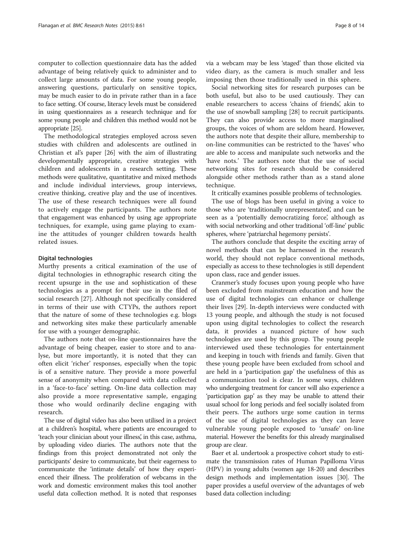computer to collection questionnaire data has the added advantage of being relatively quick to administer and to collect large amounts of data. For some young people, answering questions, particularly on sensitive topics, may be much easier to do in private rather than in a face to face setting. Of course, literacy levels must be considered in using questionnaires as a research technique and for some young people and children this method would not be appropriate [\[25\]](#page-14-0).

The methodological strategies employed across seven studies with children and adolescents are outlined in Christian et al's paper [[26](#page-14-0)] with the aim of illustrating developmentally appropriate, creative strategies with children and adolescents in a research setting. These methods were qualitative, quantitative and mixed methods and include individual interviews, group interviews, creative thinking, creative play and the use of incentives. The use of these research techniques were all found to actively engage the participants. The authors note that engagement was enhanced by using age appropriate techniques, for example, using game playing to examine the attitudes of younger children towards health related issues.

#### Digital technologies

Murthy presents a critical examination of the use of digital technologies in ethnographic research citing the recent upsurge in the use and sophistication of these technologies as a prompt for their use in the filed of social research [[27\]](#page-14-0). Although not specifically considered in terms of their use with CTYPs, the authors report that the nature of some of these technologies e.g. blogs and networking sites make these particularly amenable for use with a younger demographic.

The authors note that on-line questionnaires have the advantage of being cheaper, easier to store and to analyse, but more importantly, it is noted that they can often elicit 'richer' responses, especially when the topic is of a sensitive nature. They provide a more powerful sense of anonymity when compared with data collected in a 'face-to-face' setting. On-line data collection may also provide a more representative sample, engaging those who would ordinarily decline engaging with research.

The use of digital video has also been utilised in a project at a children's hospital, where patients are encouraged to 'teach your clinician about your illness', in this case, asthma, by uploading video diaries. The authors note that the findings from this project demonstrated not only the participants' desire to communicate, but their eagerness to communicate the 'intimate details' of how they experienced their illness. The proliferation of webcams in the work and domestic environment makes this tool another useful data collection method. It is noted that responses via a webcam may be less 'staged' than those elicited via video diary, as the camera is much smaller and less imposing then those traditionally used in this sphere.

Social networking sites for research purposes can be both useful, but also to be used cautiously. They can enable researchers to access 'chains of friends', akin to the use of snowball sampling [\[28](#page-14-0)] to recruit participants. They can also provide access to more marginalised groups, the voices of whom are seldom heard. However, the authors note that despite their allure, membership to on-line communities can be restricted to the 'haves' who are able to access and manipulate such networks and the 'have nots.' The authors note that the use of social networking sites for research should be considered alongside other methods rather than as a stand alone technique.

It critically examines possible problems of technologies.

The use of blogs has been useful in giving a voice to those who are 'traditionally unrepresentated', and can be seen as a 'potentially democratizing force', although as with social networking and other traditional 'off-line' public spheres, where 'patriarchal hegemony persists'.

The authors conclude that despite the exciting array of novel methods that can be harnessed in the research world, they should not replace conventional methods, especially as access to these technologies is still dependent upon class, race and gender issues.

Cranmer's study focuses upon young people who have been excluded from mainstream education and how the use of digital technologies can enhance or challenge their lives [[29\]](#page-14-0). In-depth interviews were conducted with 13 young people, and although the study is not focused upon using digital technologies to collect the research data, it provides a nuanced picture of how such technologies are used by this group. The young people interviewed used these technologies for entertainment and keeping in touch with friends and family. Given that these young people have been excluded from school and are held in a 'participation gap' the usefulness of this as a communication tool is clear. In some ways, children who undergoing treatment for cancer will also experience a 'participation gap' as they may be unable to attend their usual school for long periods and feel socially isolated from their peers. The authors urge some caution in terms of the use of digital technologies as they can leave vulnerable young people exposed to 'unsafe' on-line material. However the benefits for this already marginalised group are clear.

Baer et al. undertook a prospective cohort study to estimate the transmission rates of Human Papilloma Virus (HPV) in young adults (women age 18-20) and describes design methods and implementation issues [\[30](#page-14-0)]. The paper provides a useful overview of the advantages of web based data collection including: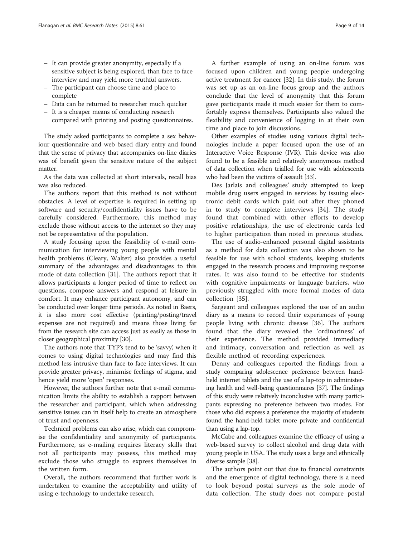- It can provide greater anonymity, especially if a sensitive subject is being explored, than face to face interview and may yield more truthful answers.
- The participant can choose time and place to complete
- Data can be returned to researcher much quicker
- It is a cheaper means of conducting research compared with printing and posting questionnaires.

The study asked participants to complete a sex behaviour questionnaire and web based diary entry and found that the sense of privacy that accompanies on-line diaries was of benefit given the sensitive nature of the subject matter.

As the data was collected at short intervals, recall bias was also reduced.

The authors report that this method is not without obstacles. A level of expertise is required in setting up software and security/confidentiality issues have to be carefully considered. Furthermore, this method may exclude those without access to the internet so they may not be representative of the population.

A study focusing upon the feasibility of e-mail communication for interviewing young people with mental health problems (Cleary, Walter) also provides a useful summary of the advantages and disadvantages to this mode of data collection [[31\]](#page-14-0). The authors report that it allows participants a longer period of time to reflect on questions, compose answers and respond at leisure in comfort. It may enhance participant autonomy, and can be conducted over longer time periods. As noted in Baers, it is also more cost effective (printing/posting/travel expenses are not required) and means those living far from the research site can access just as easily as those in closer geographical proximity [\[30\]](#page-14-0).

The authors note that TYP's tend to be 'savvy', when it comes to using digital technologies and may find this method less intrusive than face to face interviews. It can provide greater privacy, minimise feelings of stigma, and hence yield more 'open' responses.

However, the authors further note that e-mail communication limits the ability to establish a rapport between the researcher and participant, which when addressing sensitive issues can in itself help to create an atmosphere of trust and openness.

Technical problems can also arise, which can compromise the confidentiality and anonymity of participants. Furthermore, as e-mailing requires literacy skills that not all participants may possess, this method may exclude those who struggle to express themselves in the written form.

Overall, the authors recommend that further work is undertaken to examine the acceptability and utility of using e-technology to undertake research.

A further example of using an on-line forum was focused upon children and young people undergoing active treatment for cancer [\[32\]](#page-14-0). In this study, the forum was set up as an on-line focus group and the authors conclude that the level of anonymity that this forum gave participants made it much easier for them to comfortably express themselves. Participants also valued the flexibility and convenience of logging in at their own time and place to join discussions.

Other examples of studies using various digital technologies include a paper focused upon the use of an Interactive Voice Response (IVR). This device was also found to be a feasible and relatively anonymous method of data collection when trialled for use with adolescents who had been the victims of assault [[33\]](#page-14-0).

Des Jarlais and colleagues' study attempted to keep mobile drug users engaged in services by issuing electronic debit cards which paid out after they phoned in to study to complete interviews [\[34](#page-14-0)]. The study found that combined with other efforts to develop positive relationships, the use of electronic cards led to higher participation than noted in previous studies.

The use of audio-enhanced personal digital assistants as a method for data collection was also shown to be feasible for use with school students, keeping students engaged in the research process and improving response rates. It was also found to be effective for students with cognitive impairments or language barriers, who previously struggled with more formal modes of data collection [[35\]](#page-14-0).

Sargeant and colleagues explored the use of an audio diary as a means to record their experiences of young people living with chronic disease [\[36](#page-14-0)]. The authors found that the diary revealed the 'ordinariness' of their experience. The method provided immediacy and intimacy, conversation and reflection as well as flexible method of recording experiences.

Denny and colleagues reported the findings from a study comparing adolescence preference between handheld internet tablets and the use of a lap-top in administering health and well-being questionnaires [\[37](#page-14-0)]. The findings of this study were relatively inconclusive with many participants expressing no preference between two modes. For those who did express a preference the majority of students found the hand-held tablet more private and confidential than using a lap-top.

McCabe and colleagues examine the efficacy of using a web-based survey to collect alcohol and drug data with young people in USA. The study uses a large and ethnically diverse sample [\[38\]](#page-14-0).

The authors point out that due to financial constraints and the emergence of digital technology, there is a need to look beyond postal surveys as the sole mode of data collection. The study does not compare postal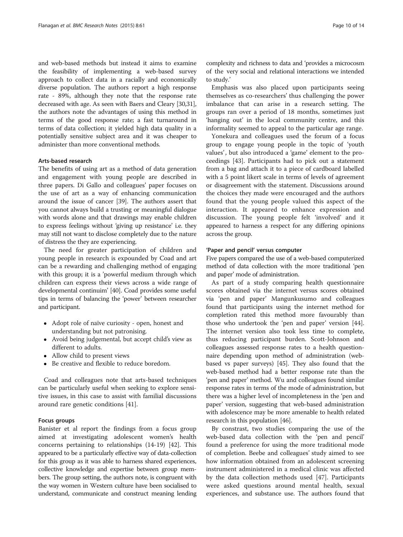and web-based methods but instead it aims to examine the feasibility of implementing a web-based survey approach to collect data in a racially and economically diverse population. The authors report a high response rate - 89%, although they note that the response rate decreased with age. As seen with Baers and Cleary [\[30,31](#page-14-0)], the authors note the advantages of using this method in terms of the good response rate; a fast turnaround in terms of data collection; it yielded high data quality in a potentially sensitive subject area and it was cheaper to administer than more conventional methods.

#### Arts-based research

The benefits of using art as a method of data generation and engagement with young people are described in three papers. Di Gallo and colleagues' paper focuses on the use of art as a way of enhancing communication around the issue of cancer [[39](#page-14-0)]. The authors assert that you cannot always build a trusting or meaningful dialogue with words alone and that drawings may enable children to express feelings without 'giving up resistance' i.e. they may still not want to disclose completely due to the nature of distress the they are experiencing.

The need for greater participation of children and young people in research is expounded by Coad and art can be a rewarding and challenging method of engaging with this group; it is a 'powerful medium through which children can express their views across a wide range of developmental continuim' [[40](#page-14-0)]. Coad provides some useful tips in terms of balancing the 'power' between researcher and participant.

- Adopt role of naïve curiosity open, honest and understanding but not patronising.
- Avoid being judgemental, but accept child's view as different to adults.
- Allow child to present views
- Be creative and flexible to reduce boredom.

Coad and colleagues note that arts-based techniques can be particularly useful when seeking to explore sensitive issues, in this case to assist with familial discussions around rare genetic conditions [[41\]](#page-14-0).

#### Focus groups

Banister et al report the findings from a focus group aimed at investigating adolescent women's health concerns pertaining to relationships (14-19) [\[42](#page-14-0)]. This appeared to be a particularly effective way of data-collection for this group as it was able to harness shared experiences, collective knowledge and expertise between group members. The group setting, the authors note, is congruent with the way women in Western culture have been socialised to understand, communicate and construct meaning lending

complexity and richness to data and 'provides a microcosm of the very social and relational interactions we intended to study.'

Emphasis was also placed upon participants seeing themselves as co-researchers' thus challenging the power imbalance that can arise in a research setting. The groups ran over a period of 18 months, sometimes just 'hanging out' in the local community centre, and this informality seemed to appeal to the particular age range.

Yonekura and colleagues used the forum of a focus group to engage young people in the topic of 'youth values', but also introduced a 'game' element to the proceedings [[43\]](#page-14-0). Participants had to pick out a statement from a bag and attach it to a piece of cardboard labelled with a 5 point likert scale in terms of levels of agreement or disagreement with the statement. Discussions around the choices they made were encouraged and the authors found that the young people valued this aspect of the interaction. It appeared to enhance expression and discussion. The young people felt 'involved' and it appeared to harness a respect for any differing opinions across the group.

#### 'Paper and pencil' versus computer

Five papers compared the use of a web-based computerized method of data collection with the more traditional 'pen and paper' mode of administration.

As part of a study comparing health questionnaire scores obtained via the internet versus scores obtained via 'pen and paper' Mangunkusumo and colleagues found that participants using the internet method for completion rated this method more favourably than those who undertook the 'pen and paper' version [\[44](#page-14-0)]. The internet version also took less time to complete, thus reducing participant burden. Scott-Johnson and colleagues assessed response rates to a health questionnaire depending upon method of administration (webbased vs paper surveys) [\[45](#page-14-0)]. They also found that the web-based method had a better response rate than the 'pen and paper' method. Wu and colleagues found similar response rates in terms of the mode of administration, but there was a higher level of incompleteness in the 'pen and paper' version, suggesting that web-based administration with adolescence may be more amenable to health related research in this population [\[46\]](#page-14-0).

By constrast, two studies comparing the use of the web-based data collection with the 'pen and pencil' found a preference for using the more traditional mode of completion. Beebe and colleagues' study aimed to see how information obtained from an adolescent screening instrument administered in a medical clinic was affected by the data collection methods used [\[47\]](#page-14-0). Participants were asked questions around mental health, sexual experiences, and substance use. The authors found that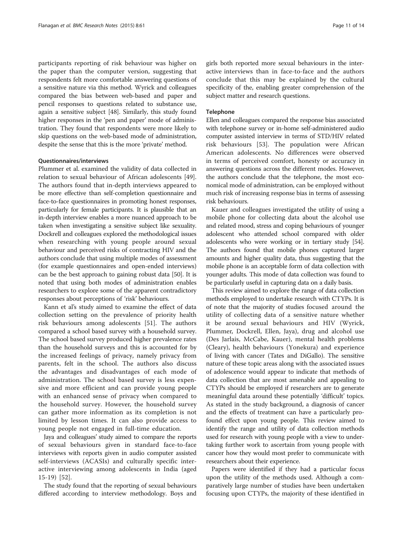participants reporting of risk behaviour was higher on the paper than the computer version, suggesting that respondents felt more comfortable answering questions of a sensitive nature via this method. Wyrick and colleagues compared the bias between web-based and paper and pencil responses to questions related to substance use, again a sensitive subject [\[48\]](#page-14-0). Similarly, this study found higher responses in the 'pen and paper' mode of administration. They found that respondents were more likely to skip questions on the web-based mode of administration, despite the sense that this is the more 'private' method.

#### Questionnaires/interviews

Plummer et al. examined the validity of data collected in relation to sexual behaviour of African adolescents [\[49](#page-14-0)]. The authors found that in-depth interviews appeared to be more effective than self-completion questionnaire and face-to-face questionnaires in promoting honest responses, particularly for female participants. It is plausible that an in-depth interview enables a more nuanced approach to be taken when investigating a sensitive subject like sexuality. Dockrell and colleagues explored the methodological issues when researching with young people around sexual behaviour and perceived risks of contracting HIV and the authors conclude that using multiple modes of assessment (for example questionnaires and open-ended interviews) can be the best approach to gaining robust data [\[50\]](#page-14-0). It is noted that using both modes of administration enables researchers to explore some of the apparent contradictory responses about perceptions of 'risk' behaviours.

Kann et al's study aimed to examine the effect of data collection setting on the prevalence of priority health risk behaviours among adolescents [[51\]](#page-14-0). The authors compared a school based survey with a household survey. The school based survey produced higher prevalence rates than the household surveys and this is accounted for by the increased feelings of privacy, namely privacy from parents, felt in the school. The authors also discuss the advantages and disadvantages of each mode of administration. The school based survey is less expensive and more efficient and can provide young people with an enhanced sense of privacy when compared to the household survey. However, the household survey can gather more information as its completion is not limited by lesson times. It can also provide access to young people not engaged in full-time education.

Jaya and colleagues' study aimed to compare the reports of sexual behaviours given in standard face-to-face interviews with reports given in audio computer assisted self-interviews (ACASIs) and culturally specific interactive interviewing among adolescents in India (aged 15-19) [[52\]](#page-14-0).

The study found that the reporting of sexual behaviours differed according to interview methodology. Boys and

girls both reported more sexual behaviours in the interactive interviews than in face-to-face and the authors conclude that this may be explained by the cultural specificity of the, enabling greater comprehension of the subject matter and research questions.

#### Telephone

Ellen and colleagues compared the response bias associated with telephone survey or in-home self-administered audio computer assisted interview in terms of STD/HIV related risk behaviours [[53\]](#page-14-0). The population were African American adolescents. No differences were observed in terms of perceived comfort, honesty or accuracy in answering questions across the different modes. However, the authors conclude that the telephone, the most economical mode of administration, can be employed without much risk of increasing response bias in terms of assessing risk behaviours.

Kauer and colleagues investigated the utility of using a mobile phone for collecting data about the alcohol use and related mood, stress and coping behaviours of younger adolescent who attended school compared with older adolescents who were working or in tertiary study [\[54](#page-14-0)]. The authors found that mobile phones captured larger amounts and higher quality data, thus suggesting that the mobile phone is an acceptable form of data collection with younger adults. This mode of data collection was found to be particularly useful in capturing data on a daily basis.

This review aimed to explore the range of data collection methods employed to undertake research with CTYPs. It is of note that the majority of studies focused around the utility of collecting data of a sensitive nature whether it be around sexual behaviours and HIV (Wyrick, Plummer, Dockrell, Ellen, Jaya), drug and alcohol use (Des Jarlais, McCabe, Kauer), mental health problems (Cleary), health behaviours (Yonekura) and experience of living with cancer (Tates and DiGallo). The sensitive nature of these topic areas along with the associated issues of adolescence would appear to indicate that methods of data collection that are most amenable and appealing to CTYPs should be employed if researchers are to generate meaningful data around these potentially 'difficult' topics. As stated in the study background, a diagnosis of cancer and the effects of treatment can have a particularly profound effect upon young people. This review aimed to identify the range and utility of data collection methods used for research with young people with a view to undertaking further work to ascertain from young people with cancer how they would most prefer to communicate with researchers about their experience.

Papers were identified if they had a particular focus upon the utility of the methods used. Although a comparatively large number of studies have been undertaken focusing upon CTYPs, the majority of these identified in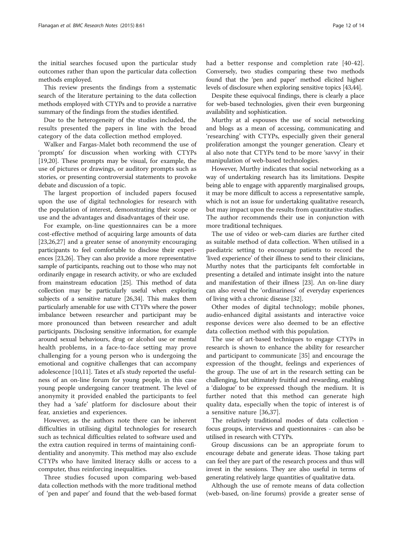the initial searches focused upon the particular study outcomes rather than upon the particular data collection methods employed.

This review presents the findings from a systematic search of the literature pertaining to the data collection methods employed with CTYPs and to provide a narrative summary of the findings from the studies identified.

Due to the heterogeneity of the studies included, the results presented the papers in line with the broad category of the data collection method employed.

Walker and Fargas-Malet both recommend the use of 'prompts' for discussion when working with CTYPs [[19,20\]](#page-13-0). These prompts may be visual, for example, the use of pictures or drawings, or auditory prompts such as stories, or presenting controversial statements to provoke debate and discussion of a topic.

The largest proportion of included papers focused upon the use of digital technologies for research with the population of interest, demonstrating their scope or use and the advantages and disadvantages of their use.

For example, on-line questionnaires can be a more cost-effective method of acquiring large amounts of data [[23,26,27\]](#page-14-0) and a greater sense of anonymity encouraging participants to feel comfortable to disclose their experiences [\[23,26](#page-14-0)]. They can also provide a more representative sample of participants, reaching out to those who may not ordinarily engage in research activity, or who are excluded from mainstream education [\[25\]](#page-14-0). This method of data collection may be particularly useful when exploring subjects of a sensitive nature [[26,34\]](#page-14-0). This makes them particularly amenable for use with CTYPs where the power imbalance between researcher and participant may be more pronounced than between researcher and adult participants. Disclosing sensitive information, for example around sexual behaviours, drug or alcohol use or mental health problems, in a face-to-face setting may prove challenging for a young person who is undergoing the emotional and cognitive challenges that can accompany adolescence [\[10,11](#page-13-0)]. Tates et al's study reported the usefulness of an on-line forum for young people, in this case young people undergoing cancer treatment. The level of anonymity it provided enabled the participants to feel they had a 'safe' platform for disclosure about their fear, anxieties and experiences.

However, as the authors note there can be inherent difficulties in utilising digital technologies for research such as technical difficulties related to software used and the extra caution required in terms of maintaining confidentiality and anonymity. This method may also exclude CTYPs who have limited literacy skills or access to a computer, thus reinforcing inequalities.

Three studies focused upon comparing web-based data collection methods with the more traditional method of 'pen and paper' and found that the web-based format had a better response and completion rate [[40](#page-14-0)-[42](#page-14-0)]. Conversely, two studies comparing these two methods found that the 'pen and paper' method elicited higher levels of disclosure when exploring sensitive topics [[43,44\]](#page-14-0).

Despite these equivocal findings, there is clearly a place for web-based technologies, given their even burgeoning availability and sophistication.

Murthy at al espouses the use of social networking and blogs as a mean of accessing, communicating and 'researching' with CTYPs, especially given their general proliferation amongst the younger generation. Cleary et al also note that CTYPs tend to be more 'savvy' in their manipulation of web-based technologies.

However, Murthy indicates that social networking as a way of undertaking research has its limitations. Despite being able to engage with apparently marginalised groups, it may be more difficult to access a representative sample, which is not an issue for undertaking qualitative research, but may impact upon the results from quantitative studies. The author recommends their use in conjunction with more traditional techniques.

The use of video or web-cam diaries are further cited as suitable method of data collection. When utilised in a paediatric setting to encourage patients to record the 'lived experience' of their illness to send to their clinicians, Murthy notes that the participants felt comfortable in presenting a detailed and intimate insight into the nature and manifestation of their illness [\[23\]](#page-14-0). An on-line diary can also reveal the 'ordinariness' of everyday experiences of living with a chronic disease [\[32\]](#page-14-0).

Other modes of digital technology; mobile phones, audio-enhanced digital assistants and interactive voice response devices were also deemed to be an effective data collection method with this population.

The use of art-based techniques to engage CTYPs in research is shown to enhance the ability for researcher and participant to communicate [\[35\]](#page-14-0) and encourage the expression of the thought, feelings and experiences of the group. The use of art in the research setting can be challenging, but ultimately fruitful and rewarding, enabling a 'dialogue' to be expressed though the medium. It is further noted that this method can generate high quality data, especially when the topic of interest is of a sensitive nature [[36,37\]](#page-14-0).

The relatively traditional modes of data collection focus groups, interviews and questionnaires - can also be utilised in research with CTYPs.

Group discussions can be an appropriate forum to encourage debate and generate ideas. Those taking part can feel they are part of the research process and thus will invest in the sessions. They are also useful in terms of generating relatively large quantities of qualitative data.

Although the use of remote means of data collection (web-based, on-line forums) provide a greater sense of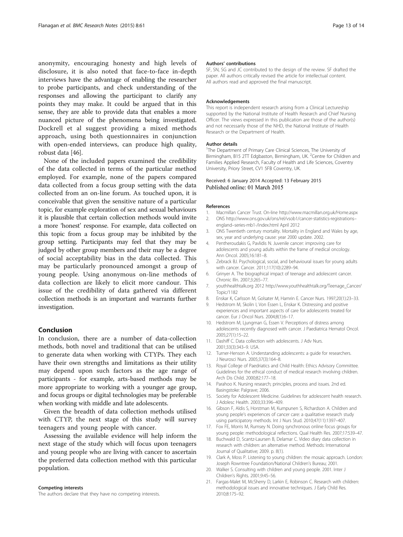<span id="page-13-0"></span>anonymity, encouraging honesty and high levels of disclosure, it is also noted that face-to-face in-depth interviews have the advantage of enabling the researcher to probe participants, and check understanding of the responses and allowing the participant to clarify any points they may make. It could be argued that in this sense, they are able to provide data that enables a more nuanced picture of the phenomena being investigated. Dockrell et al suggest providing a mixed methods approach, using both questionnaires in conjunction with open-ended interviews, can produce high quality, robust data [[46](#page-14-0)].

None of the included papers examined the credibility of the data collected in terms of the particular method employed. For example, none of the papers compared data collected from a focus group setting with the data collected from an on-line forum. As touched upon, it is conceivable that given the sensitive nature of a particular topic, for example exploration of sex and sexual behaviours it is plausible that certain collection methods would invite a more 'honest' response. For example, data collected on this topic from a focus group may be inhibited by the group setting. Participants may feel that they may be judged by other group members and their may be a degree of social acceptability bias in the data collected. This may be particularly pronounced amongst a group of young people. Using anonymous on-line methods of data collection are likely to elicit more candour. This issue of the credibility of data gathered via different collection methods is an important and warrants further investigation.

#### Conclusion

In conclusion, there are a number of data-collection methods, both novel and traditional that can be utilised to generate data when working with CTYPs. They each have their own strengths and limitations as their utility may depend upon such factors as the age range of participants - for example, arts-based methods may be more appropriate to working with a younger age group, and focus groups or digital technologies may be preferable when working with middle and late adolescents.

Given the breadth of data collection methods utilised with CTYP, the next stage of this study will survey teenagers and young people with cancer.

Assessing the available evidence will help inform the next stage of the study which will focus upon teenagers and young people who are living with cancer to ascertain the preferred data collection method with this particular population.

#### Competing interests

The authors declare that they have no competing interests.

#### Authors' contributions

SF, SN, SG and JC contributed to the design of the review. SF drafted the paper. All authors critically revised the article for intellectual content. All authors read and approved the final manuscript.

#### Acknowledgements

This report is independent research arising from a Clinical Lectureship supported by the National Institute of Health Research and Chief Nursing Officer. The views expressed in this publication are those of the author(s) and not necessarily those of the NHD, the National Institute of Health Research or the Department of Health.

#### Author details

<sup>1</sup>The Department of Primary Care Clinical Sciences, The University of Birmingham, B15 2TT Edgbaston, Birmingham, UK. <sup>2</sup>Centre for Children and Families Applied Research, Faculty of Health and Life Sciences, Coventry University, Priory Street, CV1 5FB Coventry, UK.

#### Received: 6 January 2014 Accepted: 13 February 2015 Published online: 01 March 2015

#### References

- 1. Macmillan Cancer Trust. On-line<http://www.macmillan.org.uk/Home.aspx>
- 2. ONS [http://www.ons.gov.uk/ons/rel/vsob1/cancer-statistics-registrations](http://www.ons.gov.uk/ons/rel/vsob1/cancer-statistics-registrations--england--series-mb1-/index.html) england–[series-mb1-/index.html](http://www.ons.gov.uk/ons/rel/vsob1/cancer-statistics-registrations--england--series-mb1-/index.html) April 2012
- 3. ONS Twentieth century mortality. Mortality in England and Wales by age, sex, year and underlying cause: year 2000 update. 2002.
- 4. Pentheroudakis G, Pavlidis N. Juvenile cancer: improving care for adolescents and young adults within the frame of medical oncology. Ann Oncol. 2005;16:181–8.
- 5. Zebrack BJ. Psychological, social, and behavioural issues for young adults with cancer. Cancer. 2011;117(10):2289–94.
- 6. Grinyer A. The biographical impact of teenage and adolescent cancer. Chronic Illn. 2007;3:265–77.
- 7. youthhealthtalk.org 2012 [http://www.youthhealthtalk.org/Teenage\\_Cancer/](http://www.youthhealthtalk.org/Teenage_Cancer/Topic/1182) [Topic/1182](http://www.youthhealthtalk.org/Teenage_Cancer/Topic/1182)
- 8. Enskar K, Carlsson M, Golsater M, Hamrin E. Cancer Nurs. 1997;20(1):23–33.
- 9. Hedstrom M, Skolin I, Von Essen L, Enskar K. Distressing and positive experiences and important aspects of care for adolescents treated for cancer. Eur J Oncol Nurs. 2004;8(1):6–17.
- 10. Hedstrom M, Ljungman G, Essen V. Perceptions of distress among adolescents recently diagnosed with cancer. J Paediatrica Hematol Oncol. 2005;27(1):15–22.
- 11. Dashiff C. Data collection with adolescents. J Adv Nurs. 2001;33(3):343–9. USA.
- 12. Turner-Henson A. Understanding adolescents: a guide for researchers. J Neurosci Nurs. 2005;37(3):164–8.
- 13. Royal College of Paedriatics and Child Health: Ethics Advisory Committee. Guidelines for the ethical conduct of medical research involving children. Arch Dis Child. 2000;82:177–18.
- 14. Parahoo K. Nursing research; principles, process and issues. 2nd ed. Basingstoke: Palgrave; 2006.
- 15. Society for Adolescent Medicine. Guidelines for adolescent health research. J Adolesc Health. 2003;33:396–409.
- 16. Gibson F, Aldis S, Horstman M, Kumpunen S, Richardson A. Children and young people's experiences of cancer care: a qualitative research study using participatory methods. Int J Nurs Stud. 2010;47(11):1397–407.
- 17. Fox FE, Morris M, Rumsey N. Doing synchronous online focus groups for young people: methodological reflections. Qual Health Res. 2007;17:539–47.
- 18. Buchwald D, Scantz-Laursen B, Delamar C. Video diary data collection in research with children: an alternative method. Methods: International Journal of Qualitative; 2009. p. 8(1).
- 19. Clark A, Moss P. Listening to young children: the mosaic approach. London: Joseph Rowntree Foundation/National Children's Bureau; 2001.
- 20. Walker S. Consulting with children and young people. 2001. Inter J Children's Rights. 2001;9:45–56.
- 21. Fargas-Malet M, McSherry D, Larkin E, Robinson C. Research with children: methodological issues and innovative techniques. J Early Child Res. 2010;8:175–92.